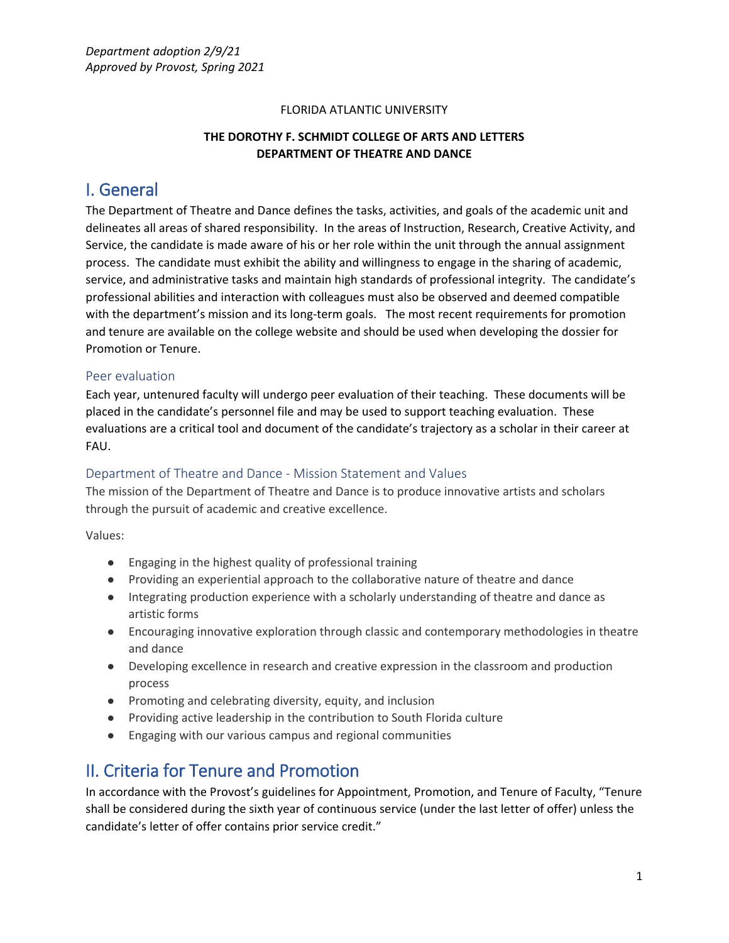#### FLORIDA ATLANTIC UNIVERSITY

## **THE DOROTHY F. SCHMIDT COLLEGE OF ARTS AND LETTERS DEPARTMENT OF THEATRE AND DANCE**

## I. General

The Department of Theatre and Dance defines the tasks, activities, and goals of the academic unit and delineates all areas of shared responsibility. In the areas of Instruction, Research, Creative Activity, and Service, the candidate is made aware of his or her role within the unit through the annual assignment process. The candidate must exhibit the ability and willingness to engage in the sharing of academic, service, and administrative tasks and maintain high standards of professional integrity. The candidate's professional abilities and interaction with colleagues must also be observed and deemed compatible with the department's mission and its long-term goals. The most recent requirements for promotion and tenure are available on the college website and should be used when developing the dossier for Promotion or Tenure.

#### Peer evaluation

Each year, untenured faculty will undergo peer evaluation of their teaching. These documents will be placed in the candidate's personnel file and may be used to support teaching evaluation. These evaluations are a critical tool and document of the candidate's trajectory as a scholar in their career at FAU.

### Department of Theatre and Dance - Mission Statement and Values

The mission of the Department of Theatre and Dance is to produce innovative artists and scholars through the pursuit of academic and creative excellence.

Values:

- Engaging in the highest quality of professional training
- Providing an experiential approach to the collaborative nature of theatre and dance
- Integrating production experience with a scholarly understanding of theatre and dance as artistic forms
- Encouraging innovative exploration through classic and contemporary methodologies in theatre and dance
- Developing excellence in research and creative expression in the classroom and production process
- Promoting and celebrating diversity, equity, and inclusion
- Providing active leadership in the contribution to South Florida culture
- Engaging with our various campus and regional communities

## II. Criteria for Tenure and Promotion

In accordance with the Provost's guidelines for Appointment, Promotion, and Tenure of Faculty, "Tenure shall be considered during the sixth year of continuous service (under the last letter of offer) unless the candidate's letter of offer contains prior service credit."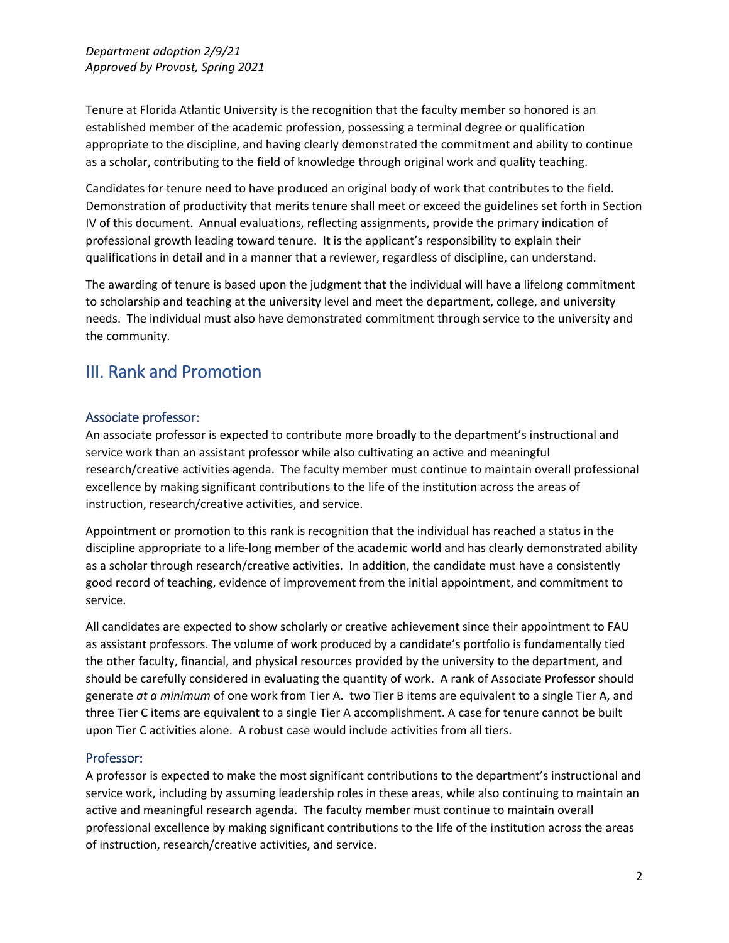Tenure at Florida Atlantic University is the recognition that the faculty member so honored is an established member of the academic profession, possessing a terminal degree or qualification appropriate to the discipline, and having clearly demonstrated the commitment and ability to continue as a scholar, contributing to the field of knowledge through original work and quality teaching.

Candidates for tenure need to have produced an original body of work that contributes to the field. Demonstration of productivity that merits tenure shall meet or exceed the guidelines set forth in Section IV of this document. Annual evaluations, reflecting assignments, provide the primary indication of professional growth leading toward tenure. It is the applicant's responsibility to explain their qualifications in detail and in a manner that a reviewer, regardless of discipline, can understand.

The awarding of tenure is based upon the judgment that the individual will have a lifelong commitment to scholarship and teaching at the university level and meet the department, college, and university needs. The individual must also have demonstrated commitment through service to the university and the community.

# III. Rank and Promotion

## Associate professor:

An associate professor is expected to contribute more broadly to the department's instructional and service work than an assistant professor while also cultivating an active and meaningful research/creative activities agenda. The faculty member must continue to maintain overall professional excellence by making significant contributions to the life of the institution across the areas of instruction, research/creative activities, and service.

Appointment or promotion to this rank is recognition that the individual has reached a status in the discipline appropriate to a life-long member of the academic world and has clearly demonstrated ability as a scholar through research/creative activities. In addition, the candidate must have a consistently good record of teaching, evidence of improvement from the initial appointment, and commitment to service.

All candidates are expected to show scholarly or creative achievement since their appointment to FAU as assistant professors. The volume of work produced by a candidate's portfolio is fundamentally tied the other faculty, financial, and physical resources provided by the university to the department, and should be carefully considered in evaluating the quantity of work. A rank of Associate Professor should generate *at a minimum* of one work from Tier A. two Tier B items are equivalent to a single Tier A, and three Tier C items are equivalent to a single Tier A accomplishment. A case for tenure cannot be built upon Tier C activities alone. A robust case would include activities from all tiers.

## Professor:

A professor is expected to make the most significant contributions to the department's instructional and service work, including by assuming leadership roles in these areas, while also continuing to maintain an active and meaningful research agenda. The faculty member must continue to maintain overall professional excellence by making significant contributions to the life of the institution across the areas of instruction, research/creative activities, and service.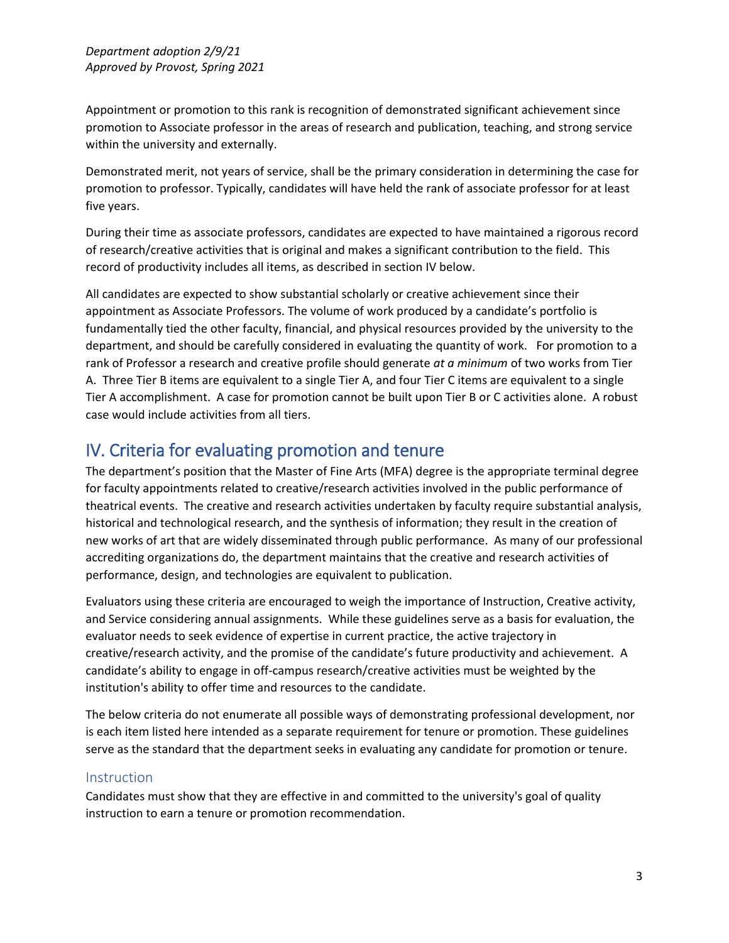Appointment or promotion to this rank is recognition of demonstrated significant achievement since promotion to Associate professor in the areas of research and publication, teaching, and strong service within the university and externally.

Demonstrated merit, not years of service, shall be the primary consideration in determining the case for promotion to professor. Typically, candidates will have held the rank of associate professor for at least five years.

During their time as associate professors, candidates are expected to have maintained a rigorous record of research/creative activities that is original and makes a significant contribution to the field. This record of productivity includes all items, as described in section IV below.

All candidates are expected to show substantial scholarly or creative achievement since their appointment as Associate Professors. The volume of work produced by a candidate's portfolio is fundamentally tied the other faculty, financial, and physical resources provided by the university to the department, and should be carefully considered in evaluating the quantity of work. For promotion to a rank of Professor a research and creative profile should generate *at a minimum* of two works from Tier A. Three Tier B items are equivalent to a single Tier A, and four Tier C items are equivalent to a single Tier A accomplishment. A case for promotion cannot be built upon Tier B or C activities alone. A robust case would include activities from all tiers.

## IV. Criteria for evaluating promotion and tenure

The department's position that the Master of Fine Arts (MFA) degree is the appropriate terminal degree for faculty appointments related to creative/research activities involved in the public performance of theatrical events. The creative and research activities undertaken by faculty require substantial analysis, historical and technological research, and the synthesis of information; they result in the creation of new works of art that are widely disseminated through public performance. As many of our professional accrediting organizations do, the department maintains that the creative and research activities of performance, design, and technologies are equivalent to publication.

Evaluators using these criteria are encouraged to weigh the importance of Instruction, Creative activity, and Service considering annual assignments. While these guidelines serve as a basis for evaluation, the evaluator needs to seek evidence of expertise in current practice, the active trajectory in creative/research activity, and the promise of the candidate's future productivity and achievement. A candidate's ability to engage in off-campus research/creative activities must be weighted by the institution's ability to offer time and resources to the candidate.

The below criteria do not enumerate all possible ways of demonstrating professional development, nor is each item listed here intended as a separate requirement for tenure or promotion. These guidelines serve as the standard that the department seeks in evaluating any candidate for promotion or tenure.

## **Instruction**

Candidates must show that they are effective in and committed to the university's goal of quality instruction to earn a tenure or promotion recommendation.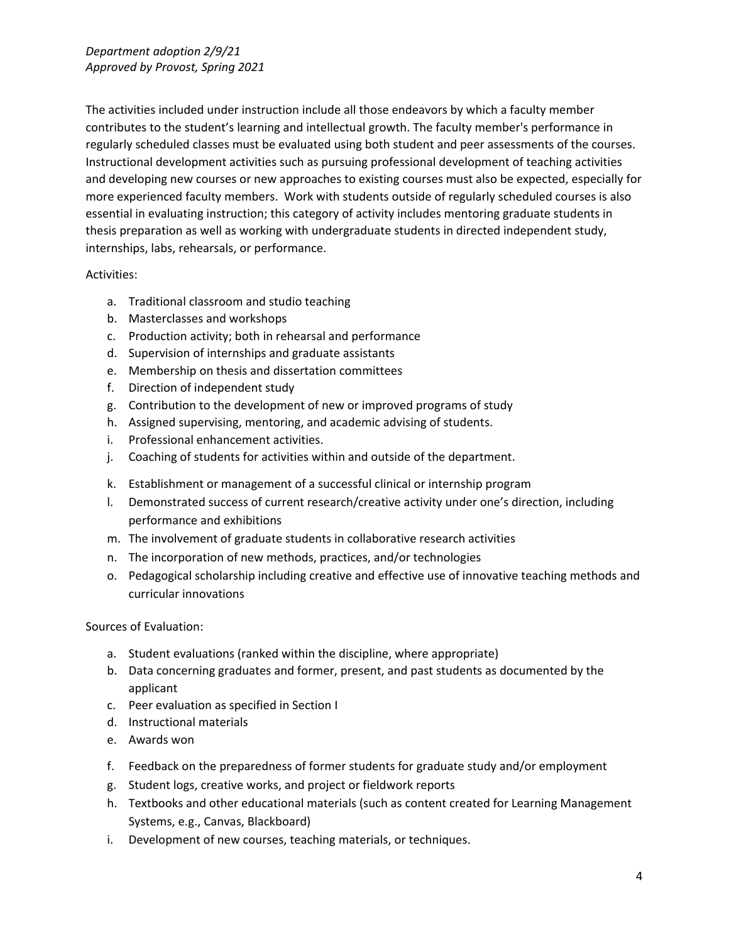The activities included under instruction include all those endeavors by which a faculty member contributes to the student's learning and intellectual growth. The faculty member's performance in regularly scheduled classes must be evaluated using both student and peer assessments of the courses. Instructional development activities such as pursuing professional development of teaching activities and developing new courses or new approaches to existing courses must also be expected, especially for more experienced faculty members. Work with students outside of regularly scheduled courses is also essential in evaluating instruction; this category of activity includes mentoring graduate students in thesis preparation as well as working with undergraduate students in directed independent study, internships, labs, rehearsals, or performance.

#### Activities:

- a. Traditional classroom and studio teaching
- b. Masterclasses and workshops
- c. Production activity; both in rehearsal and performance
- d. Supervision of internships and graduate assistants
- e. Membership on thesis and dissertation committees
- f. Direction of independent study
- g. Contribution to the development of new or improved programs of study
- h. Assigned supervising, mentoring, and academic advising of students.
- i. Professional enhancement activities.
- j. Coaching of students for activities within and outside of the department.
- k. Establishment or management of a successful clinical or internship program
- l. Demonstrated success of current research/creative activity under one's direction, including performance and exhibitions
- m. The involvement of graduate students in collaborative research activities
- n. The incorporation of new methods, practices, and/or technologies
- o. Pedagogical scholarship including creative and effective use of innovative teaching methods and curricular innovations

Sources of Evaluation:

- a. Student evaluations (ranked within the discipline, where appropriate)
- b. Data concerning graduates and former, present, and past students as documented by the applicant
- c. Peer evaluation as specified in Section I
- d. Instructional materials
- e. Awards won
- f. Feedback on the preparedness of former students for graduate study and/or employment
- g. Student logs, creative works, and project or fieldwork reports
- h. Textbooks and other educational materials (such as content created for Learning Management Systems, e.g., Canvas, Blackboard)
- i. Development of new courses, teaching materials, or techniques.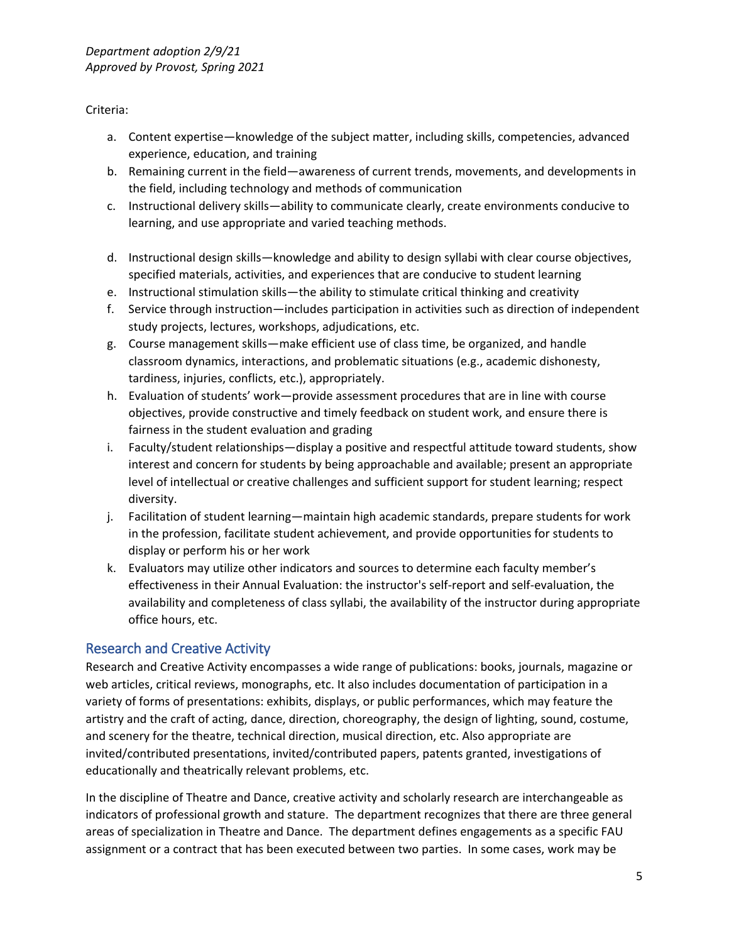Criteria:

- a. Content expertise—knowledge of the subject matter, including skills, competencies, advanced experience, education, and training
- b. Remaining current in the field—awareness of current trends, movements, and developments in the field, including technology and methods of communication
- c. Instructional delivery skills—ability to communicate clearly, create environments conducive to learning, and use appropriate and varied teaching methods.
- d. Instructional design skills—knowledge and ability to design syllabi with clear course objectives, specified materials, activities, and experiences that are conducive to student learning
- e. Instructional stimulation skills—the ability to stimulate critical thinking and creativity
- f. Service through instruction—includes participation in activities such as direction of independent study projects, lectures, workshops, adjudications, etc.
- g. Course management skills—make efficient use of class time, be organized, and handle classroom dynamics, interactions, and problematic situations (e.g., academic dishonesty, tardiness, injuries, conflicts, etc.), appropriately.
- h. Evaluation of students' work—provide assessment procedures that are in line with course objectives, provide constructive and timely feedback on student work, and ensure there is fairness in the student evaluation and grading
- i. Faculty/student relationships—display a positive and respectful attitude toward students, show interest and concern for students by being approachable and available; present an appropriate level of intellectual or creative challenges and sufficient support for student learning; respect diversity.
- j. Facilitation of student learning—maintain high academic standards, prepare students for work in the profession, facilitate student achievement, and provide opportunities for students to display or perform his or her work
- k. Evaluators may utilize other indicators and sources to determine each faculty member's effectiveness in their Annual Evaluation: the instructor's self-report and self-evaluation, the availability and completeness of class syllabi, the availability of the instructor during appropriate office hours, etc.

## Research and Creative Activity

Research and Creative Activity encompasses a wide range of publications: books, journals, magazine or web articles, critical reviews, monographs, etc. It also includes documentation of participation in a variety of forms of presentations: exhibits, displays, or public performances, which may feature the artistry and the craft of acting, dance, direction, choreography, the design of lighting, sound, costume, and scenery for the theatre, technical direction, musical direction, etc. Also appropriate are invited/contributed presentations, invited/contributed papers, patents granted, investigations of educationally and theatrically relevant problems, etc.

In the discipline of Theatre and Dance, creative activity and scholarly research are interchangeable as indicators of professional growth and stature. The department recognizes that there are three general areas of specialization in Theatre and Dance. The department defines engagements as a specific FAU assignment or a contract that has been executed between two parties. In some cases, work may be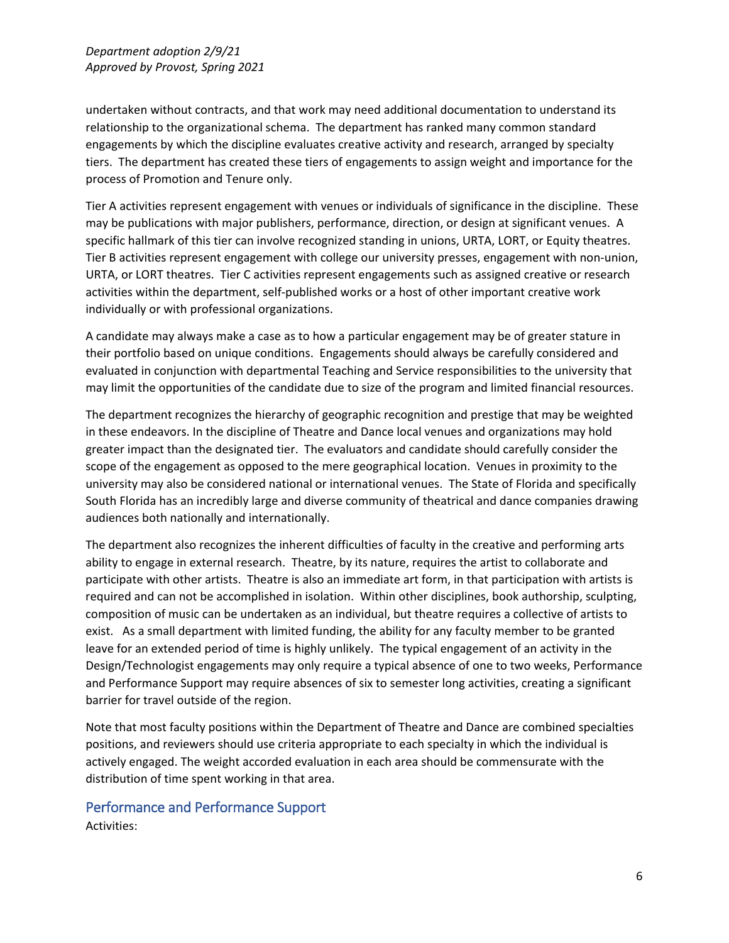undertaken without contracts, and that work may need additional documentation to understand its relationship to the organizational schema. The department has ranked many common standard engagements by which the discipline evaluates creative activity and research, arranged by specialty tiers. The department has created these tiers of engagements to assign weight and importance for the process of Promotion and Tenure only.

Tier A activities represent engagement with venues or individuals of significance in the discipline. These may be publications with major publishers, performance, direction, or design at significant venues. A specific hallmark of this tier can involve recognized standing in unions, URTA, LORT, or Equity theatres. Tier B activities represent engagement with college our university presses, engagement with non-union, URTA, or LORT theatres. Tier C activities represent engagements such as assigned creative or research activities within the department, self-published works or a host of other important creative work individually or with professional organizations.

A candidate may always make a case as to how a particular engagement may be of greater stature in their portfolio based on unique conditions. Engagements should always be carefully considered and evaluated in conjunction with departmental Teaching and Service responsibilities to the university that may limit the opportunities of the candidate due to size of the program and limited financial resources.

The department recognizes the hierarchy of geographic recognition and prestige that may be weighted in these endeavors. In the discipline of Theatre and Dance local venues and organizations may hold greater impact than the designated tier. The evaluators and candidate should carefully consider the scope of the engagement as opposed to the mere geographical location. Venues in proximity to the university may also be considered national or international venues. The State of Florida and specifically South Florida has an incredibly large and diverse community of theatrical and dance companies drawing audiences both nationally and internationally.

The department also recognizes the inherent difficulties of faculty in the creative and performing arts ability to engage in external research. Theatre, by its nature, requires the artist to collaborate and participate with other artists. Theatre is also an immediate art form, in that participation with artists is required and can not be accomplished in isolation. Within other disciplines, book authorship, sculpting, composition of music can be undertaken as an individual, but theatre requires a collective of artists to exist. As a small department with limited funding, the ability for any faculty member to be granted leave for an extended period of time is highly unlikely. The typical engagement of an activity in the Design/Technologist engagements may only require a typical absence of one to two weeks, Performance and Performance Support may require absences of six to semester long activities, creating a significant barrier for travel outside of the region.

Note that most faculty positions within the Department of Theatre and Dance are combined specialties positions, and reviewers should use criteria appropriate to each specialty in which the individual is actively engaged. The weight accorded evaluation in each area should be commensurate with the distribution of time spent working in that area.

## Performance and Performance Support

Activities: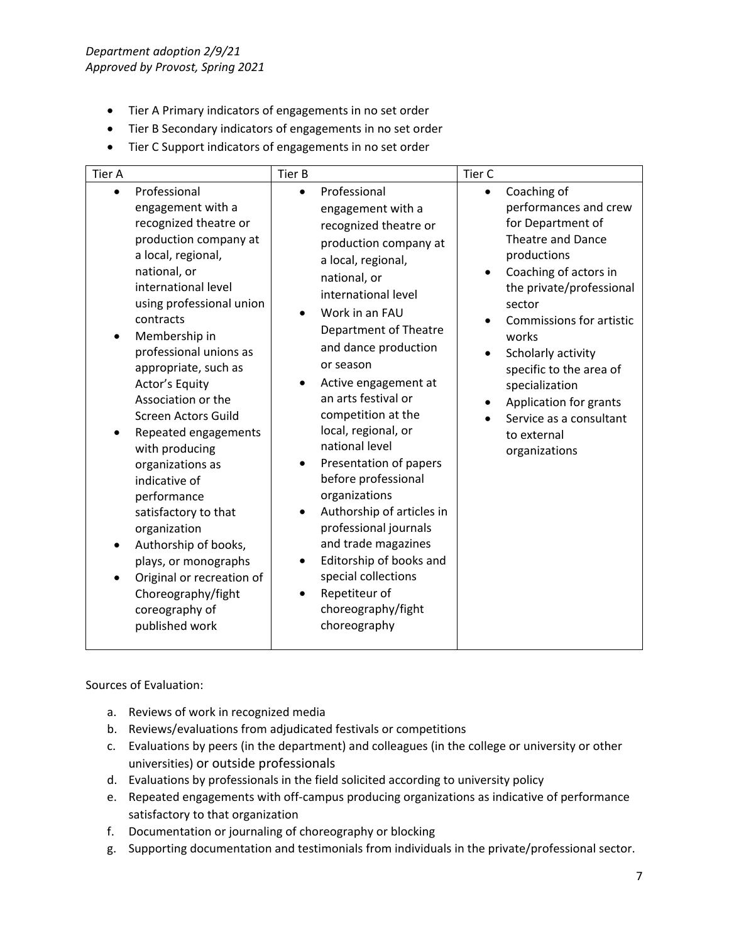*Department adoption 2/9/21 Approved by Provost, Spring 2021*

- Tier A Primary indicators of engagements in no set order
- Tier B Secondary indicators of engagements in no set order
- Tier C Support indicators of engagements in no set order

| <b>Tier A</b> |                                                                                                                                                                                                                                                                                                                                                                                                                                                                                                                                                                                                          | Tier B                                           |                                                                                                                                                                                                                                                                                                                                                                                                                                                                                                                                                                                                               | Tier C    |                                                                                                                                                                                                                                                                                                                                                           |
|---------------|----------------------------------------------------------------------------------------------------------------------------------------------------------------------------------------------------------------------------------------------------------------------------------------------------------------------------------------------------------------------------------------------------------------------------------------------------------------------------------------------------------------------------------------------------------------------------------------------------------|--------------------------------------------------|---------------------------------------------------------------------------------------------------------------------------------------------------------------------------------------------------------------------------------------------------------------------------------------------------------------------------------------------------------------------------------------------------------------------------------------------------------------------------------------------------------------------------------------------------------------------------------------------------------------|-----------|-----------------------------------------------------------------------------------------------------------------------------------------------------------------------------------------------------------------------------------------------------------------------------------------------------------------------------------------------------------|
| $\bullet$     | Professional<br>engagement with a<br>recognized theatre or<br>production company at<br>a local, regional,<br>national, or<br>international level<br>using professional union<br>contracts<br>Membership in<br>professional unions as<br>appropriate, such as<br>Actor's Equity<br>Association or the<br>Screen Actors Guild<br>Repeated engagements<br>with producing<br>organizations as<br>indicative of<br>performance<br>satisfactory to that<br>organization<br>Authorship of books,<br>plays, or monographs<br>Original or recreation of<br>Choreography/fight<br>coreography of<br>published work | $\bullet$<br>$\bullet$<br>$\bullet$<br>$\bullet$ | Professional<br>engagement with a<br>recognized theatre or<br>production company at<br>a local, regional,<br>national, or<br>international level<br>Work in an FAU<br><b>Department of Theatre</b><br>and dance production<br>or season<br>Active engagement at<br>an arts festival or<br>competition at the<br>local, regional, or<br>national level<br>Presentation of papers<br>before professional<br>organizations<br>Authorship of articles in<br>professional journals<br>and trade magazines<br>Editorship of books and<br>special collections<br>Repetiteur of<br>choreography/fight<br>choreography | $\bullet$ | Coaching of<br>performances and crew<br>for Department of<br>Theatre and Dance<br>productions<br>Coaching of actors in<br>the private/professional<br>sector<br>Commissions for artistic<br>works<br>Scholarly activity<br>specific to the area of<br>specialization<br>Application for grants<br>Service as a consultant<br>to external<br>organizations |

Sources of Evaluation:

- a. Reviews of work in recognized media
- b. Reviews/evaluations from adjudicated festivals or competitions
- c. Evaluations by peers (in the department) and colleagues (in the college or university or other universities) or outside professionals
- d. Evaluations by professionals in the field solicited according to university policy
- e. Repeated engagements with off-campus producing organizations as indicative of performance satisfactory to that organization
- f. Documentation or journaling of choreography or blocking
- g. Supporting documentation and testimonials from individuals in the private/professional sector.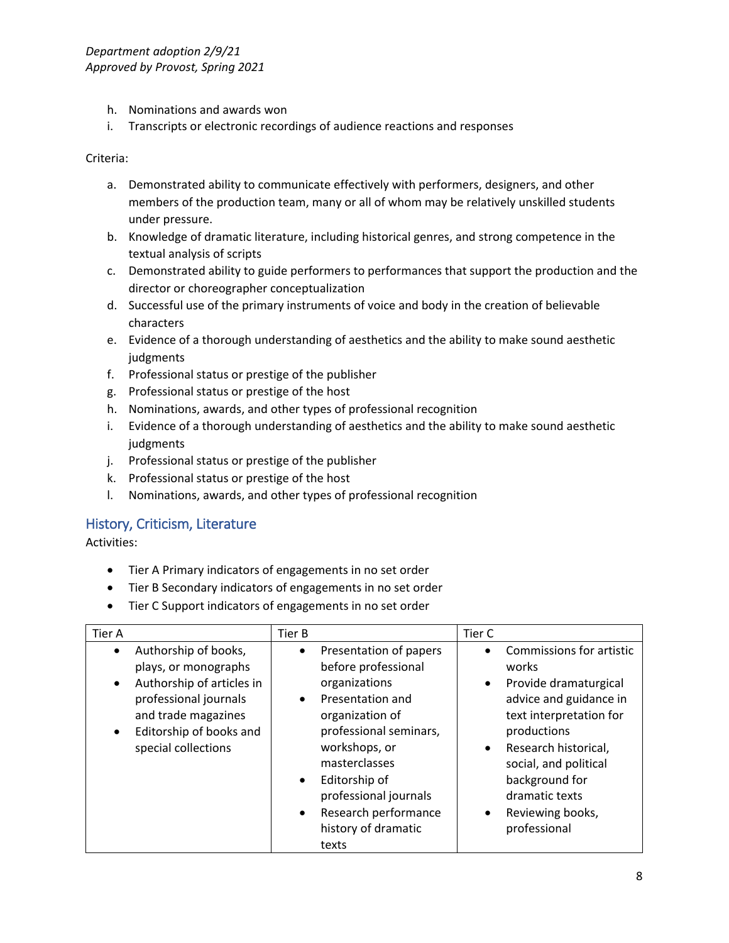- h. Nominations and awards won
- i. Transcripts or electronic recordings of audience reactions and responses

Criteria:

- a. Demonstrated ability to communicate effectively with performers, designers, and other members of the production team, many or all of whom may be relatively unskilled students under pressure.
- b. Knowledge of dramatic literature, including historical genres, and strong competence in the textual analysis of scripts
- c. Demonstrated ability to guide performers to performances that support the production and the director or choreographer conceptualization
- d. Successful use of the primary instruments of voice and body in the creation of believable characters
- e. Evidence of a thorough understanding of aesthetics and the ability to make sound aesthetic judgments
- f. Professional status or prestige of the publisher
- g. Professional status or prestige of the host
- h. Nominations, awards, and other types of professional recognition
- i. Evidence of a thorough understanding of aesthetics and the ability to make sound aesthetic judgments
- j. Professional status or prestige of the publisher
- k. Professional status or prestige of the host
- l. Nominations, awards, and other types of professional recognition

## History, Criticism, Literature

Activities:

- Tier A Primary indicators of engagements in no set order
- Tier B Secondary indicators of engagements in no set order
- Tier C Support indicators of engagements in no set order

| <b>Tier A</b>                                                                                                                                                                                                      | Tier B                                                                                                                                                                                                                                                                                        | Tier C                                                                                                                                                                                                                                                                                         |
|--------------------------------------------------------------------------------------------------------------------------------------------------------------------------------------------------------------------|-----------------------------------------------------------------------------------------------------------------------------------------------------------------------------------------------------------------------------------------------------------------------------------------------|------------------------------------------------------------------------------------------------------------------------------------------------------------------------------------------------------------------------------------------------------------------------------------------------|
| Authorship of books,<br>$\bullet$<br>plays, or monographs<br>Authorship of articles in<br>$\bullet$<br>professional journals<br>and trade magazines<br>Editorship of books and<br>$\bullet$<br>special collections | Presentation of papers<br>$\bullet$<br>before professional<br>organizations<br>Presentation and<br>organization of<br>professional seminars,<br>workshops, or<br>masterclasses<br>Editorship of<br>professional journals<br>Research performance<br>$\bullet$<br>history of dramatic<br>texts | Commissions for artistic<br>works<br>Provide dramaturgical<br>$\bullet$<br>advice and guidance in<br>text interpretation for<br>productions<br>Research historical,<br>$\bullet$<br>social, and political<br>background for<br>dramatic texts<br>Reviewing books,<br>$\bullet$<br>professional |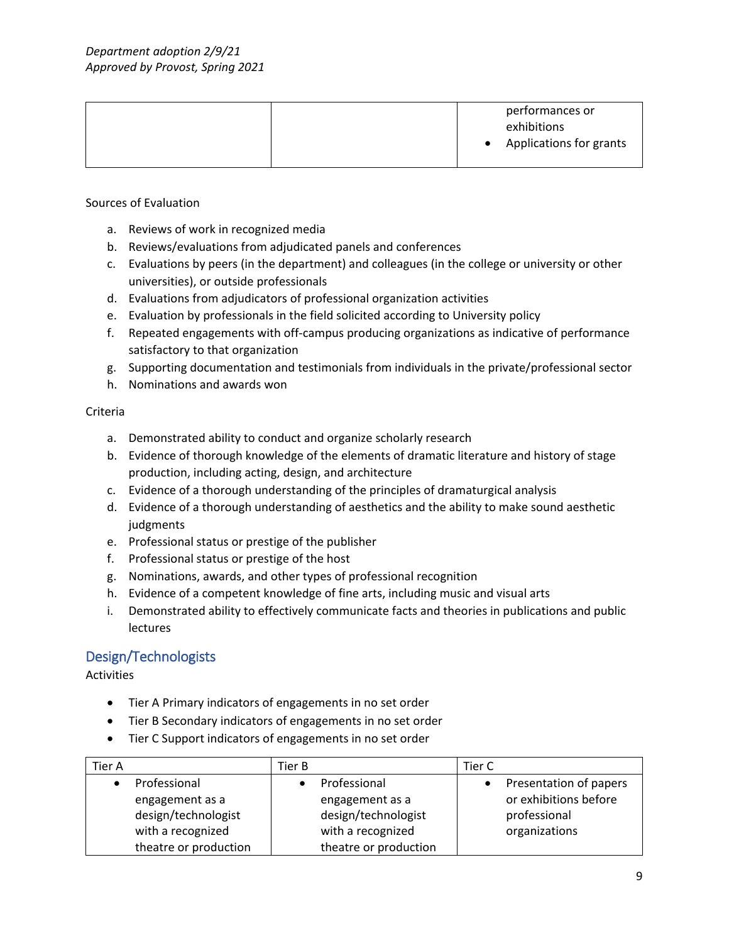|  | performances or<br>exhibitions<br>Applications for grants |
|--|-----------------------------------------------------------|
|--|-----------------------------------------------------------|

#### Sources of Evaluation

- a. Reviews of work in recognized media
- b. Reviews/evaluations from adjudicated panels and conferences
- c. Evaluations by peers (in the department) and colleagues (in the college or university or other universities), or outside professionals
- d. Evaluations from adjudicators of professional organization activities
- e. Evaluation by professionals in the field solicited according to University policy
- f. Repeated engagements with off-campus producing organizations as indicative of performance satisfactory to that organization
- g. Supporting documentation and testimonials from individuals in the private/professional sector
- h. Nominations and awards won

#### Criteria

- a. Demonstrated ability to conduct and organize scholarly research
- b. Evidence of thorough knowledge of the elements of dramatic literature and history of stage production, including acting, design, and architecture
- c. Evidence of a thorough understanding of the principles of dramaturgical analysis
- d. Evidence of a thorough understanding of aesthetics and the ability to make sound aesthetic judgments
- e. Professional status or prestige of the publisher
- f. Professional status or prestige of the host
- g. Nominations, awards, and other types of professional recognition
- h. Evidence of a competent knowledge of fine arts, including music and visual arts
- i. Demonstrated ability to effectively communicate facts and theories in publications and public lectures

## Design/Technologists

Activities

- Tier A Primary indicators of engagements in no set order
- Tier B Secondary indicators of engagements in no set order
- Tier C Support indicators of engagements in no set order

| Tier A                | Tier B                | Tier C                 |
|-----------------------|-----------------------|------------------------|
| Professional          | Professional          | Presentation of papers |
| engagement as a       | engagement as a       | or exhibitions before  |
| design/technologist   | design/technologist   | professional           |
| with a recognized     | with a recognized     | organizations          |
| theatre or production | theatre or production |                        |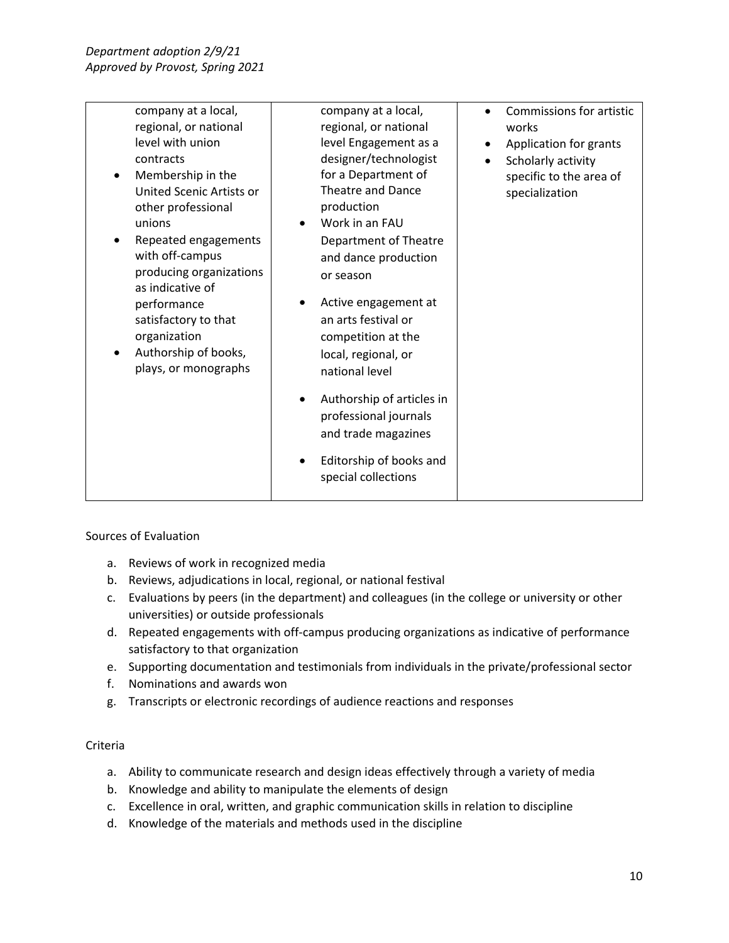| company at a local,<br>regional, or national<br>level with union<br>contracts<br>Membership in the<br>United Scenic Artists or<br>other professional<br>unions<br>Repeated engagements<br>with off-campus<br>producing organizations<br>as indicative of<br>performance<br>satisfactory to that<br>organization<br>Authorship of books,<br>plays, or monographs | company at a local,<br>regional, or national<br>level Engagement as a<br>designer/technologist<br>for a Department of<br><b>Theatre and Dance</b><br>production<br>Work in an FAU<br>Department of Theatre<br>and dance production<br>or season<br>Active engagement at<br>an arts festival or<br>competition at the<br>local, regional, or<br>national level<br>Authorship of articles in<br>professional journals<br>and trade magazines | Commissions for artistic<br>works<br>Application for grants<br>Scholarly activity<br>specific to the area of<br>specialization |
|-----------------------------------------------------------------------------------------------------------------------------------------------------------------------------------------------------------------------------------------------------------------------------------------------------------------------------------------------------------------|--------------------------------------------------------------------------------------------------------------------------------------------------------------------------------------------------------------------------------------------------------------------------------------------------------------------------------------------------------------------------------------------------------------------------------------------|--------------------------------------------------------------------------------------------------------------------------------|
|                                                                                                                                                                                                                                                                                                                                                                 | Editorship of books and<br>special collections                                                                                                                                                                                                                                                                                                                                                                                             |                                                                                                                                |

#### Sources of Evaluation

- a. Reviews of work in recognized media
- b. Reviews, adjudications in local, regional, or national festival
- c. Evaluations by peers (in the department) and colleagues (in the college or university or other universities) or outside professionals
- d. Repeated engagements with off-campus producing organizations as indicative of performance satisfactory to that organization
- e. Supporting documentation and testimonials from individuals in the private/professional sector
- f. Nominations and awards won
- g. Transcripts or electronic recordings of audience reactions and responses

#### Criteria

- a. Ability to communicate research and design ideas effectively through a variety of media
- b. Knowledge and ability to manipulate the elements of design
- c. Excellence in oral, written, and graphic communication skills in relation to discipline
- d. Knowledge of the materials and methods used in the discipline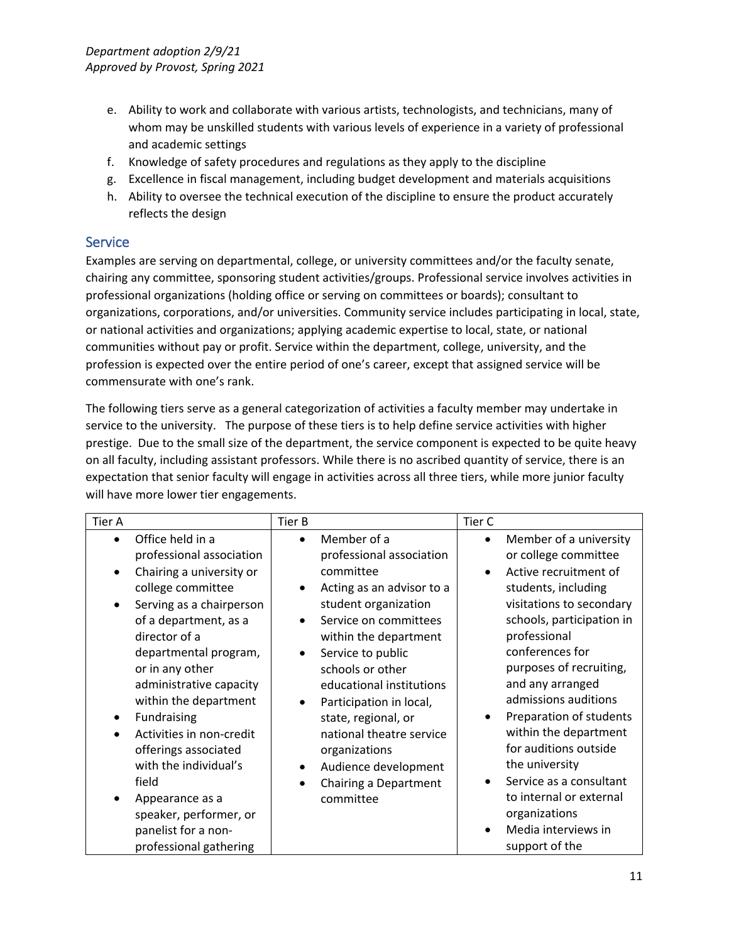- e. Ability to work and collaborate with various artists, technologists, and technicians, many of whom may be unskilled students with various levels of experience in a variety of professional and academic settings
- f. Knowledge of safety procedures and regulations as they apply to the discipline
- g. Excellence in fiscal management, including budget development and materials acquisitions
- h. Ability to oversee the technical execution of the discipline to ensure the product accurately reflects the design

## **Service**

Examples are serving on departmental, college, or university committees and/or the faculty senate, chairing any committee, sponsoring student activities/groups. Professional service involves activities in professional organizations (holding office or serving on committees or boards); consultant to organizations, corporations, and/or universities. Community service includes participating in local, state, or national activities and organizations; applying academic expertise to local, state, or national communities without pay or profit. Service within the department, college, university, and the profession is expected over the entire period of one's career, except that assigned service will be commensurate with one's rank.

The following tiers serve as a general categorization of activities a faculty member may undertake in service to the university. The purpose of these tiers is to help define service activities with higher prestige. Due to the small size of the department, the service component is expected to be quite heavy on all faculty, including assistant professors. While there is no ascribed quantity of service, there is an expectation that senior faculty will engage in activities across all three tiers, while more junior faculty will have more lower tier engagements.

| Office held in a<br>Member of a<br>Member of a university<br>$\bullet$<br>$\bullet$<br>$\bullet$<br>or college committee<br>professional association<br>professional association<br>Active recruitment of<br>Chairing a university or<br>committee<br>college committee<br>Acting as an advisor to a<br>students, including<br>$\bullet$<br>visitations to secondary<br>student organization<br>Serving as a chairperson<br>$\bullet$<br>schools, participation in<br>of a department, as a<br>Service on committees<br>$\bullet$<br>professional<br>director of a<br>within the department<br>conferences for<br>departmental program,<br>Service to public<br>$\bullet$<br>purposes of recruiting,<br>or in any other<br>schools or other<br>and any arranged<br>administrative capacity<br>educational institutions<br>admissions auditions<br>within the department<br>Participation in local,<br>$\bullet$<br>Preparation of students<br>Fundraising<br>state, regional, or<br>$\bullet$ | Tier A | Tier B | Tier C |
|-----------------------------------------------------------------------------------------------------------------------------------------------------------------------------------------------------------------------------------------------------------------------------------------------------------------------------------------------------------------------------------------------------------------------------------------------------------------------------------------------------------------------------------------------------------------------------------------------------------------------------------------------------------------------------------------------------------------------------------------------------------------------------------------------------------------------------------------------------------------------------------------------------------------------------------------------------------------------------------------------|--------|--------|--------|
| within the department<br>national theatre service<br>Activities in non-credit<br>for auditions outside<br>offerings associated<br>organizations<br>the university<br>with the individual's<br>Audience development<br>$\bullet$<br>Service as a consultant<br>field<br>Chairing a Department<br>to internal or external<br>committee<br>Appearance as a<br>organizations<br>speaker, performer, or<br>Media interviews in<br>panelist for a non-<br>professional gathering<br>support of the                                                                                                                                                                                                                                                                                                                                                                                                                                                                                                  |        |        |        |